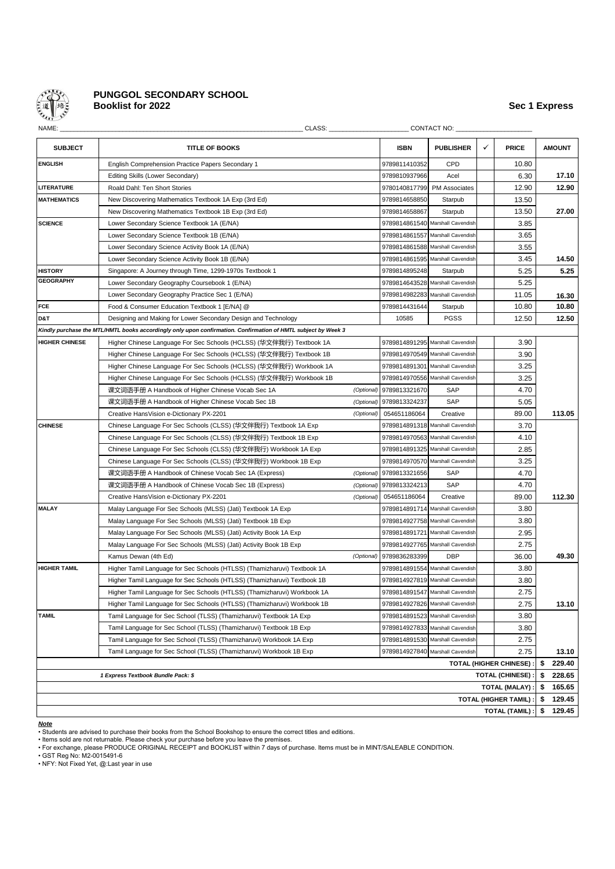

## **PUNGGOL SECONDARY SCHOOL Booklist for 2022** Sec 1 Express **Sec 1 Express**

| NAME:                                                         | CLASS:                                                                                                        |               |                                  | CONTACT NO:                      |              |                       |               |        |
|---------------------------------------------------------------|---------------------------------------------------------------------------------------------------------------|---------------|----------------------------------|----------------------------------|--------------|-----------------------|---------------|--------|
| <b>SUBJECT</b>                                                | <b>TITLE OF BOOKS</b>                                                                                         | <b>ISBN</b>   | <b>PUBLISHER</b>                 | ✓                                | <b>PRICE</b> |                       | <b>AMOUNT</b> |        |
| <b>ENGLISH</b>                                                | English Comprehension Practice Papers Secondary 1                                                             |               | 9789811410352                    | CPD                              |              | 10.80                 |               |        |
|                                                               | Editing Skills (Lower Secondary)                                                                              | 9789810937966 | Acel                             |                                  | 6.30         |                       | 17.10         |        |
| <b>LITERATURE</b>                                             | Roald Dahl: Ten Short Stories                                                                                 | 9780140817799 | <b>PM Associates</b>             |                                  | 12.90        |                       | 12.90         |        |
| <b>MATHEMATICS</b>                                            | New Discovering Mathematics Textbook 1A Exp (3rd Ed)                                                          | 9789814658850 | Starpub                          |                                  | 13.50        |                       |               |        |
|                                                               | New Discovering Mathematics Textbook 1B Exp (3rd Ed)                                                          |               | 9789814658867                    | Starpub                          |              | 13.50                 |               | 27.00  |
| <b>SCIENCE</b>                                                | Lower Secondary Science Textbook 1A (E/NA)                                                                    |               | 9789814861540 Marshall Cavendish |                                  | 3.85         |                       |               |        |
|                                                               | Lower Secondary Science Textbook 1B (E/NA)                                                                    |               |                                  | 9789814861557 Marshall Cavendish |              | 3.65                  |               |        |
|                                                               | Lower Secondary Science Activity Book 1A (E/NA)                                                               |               |                                  | 9789814861588 Marshall Cavendish |              | 3.55                  |               |        |
|                                                               | Lower Secondary Science Activity Book 1B (E/NA)                                                               |               | 9789814861595 Marshall Cavendish |                                  | 3.45         |                       | 14.50         |        |
| <b>HISTORY</b>                                                | Singapore: A Journey through Time, 1299-1970s Textbook 1                                                      |               | 9789814895248                    | Starpub                          |              | 5.25                  |               | 5.25   |
| <b>GEOGRAPHY</b>                                              | Lower Secondary Geography Coursebook 1 (E/NA)                                                                 |               |                                  | 9789814643528 Marshall Cavendish |              | 5.25                  |               |        |
|                                                               | Lower Secondary Geography Practice Sec 1 (E/NA)                                                               |               |                                  | 9789814982283 Marshall Cavendish |              | 11.05                 |               | 16.30  |
| FCE                                                           | Food & Consumer Education Textbook 1 [E/NA] @                                                                 |               | 9789814431644                    | Starpub                          |              | 10.80                 |               | 10.80  |
| D&T                                                           | Designing and Making for Lower Secondary Design and Technology                                                |               | 10585                            | <b>PGSS</b>                      |              | 12.50                 |               | 12.50  |
|                                                               | Kindly purchase the MTL/HMTL books accordingly only upon confirmation. Confirmation of HMTL subject by Week 3 |               |                                  |                                  |              |                       |               |        |
| <b>HIGHER CHINESE</b>                                         | Higher Chinese Language For Sec Schools (HCLSS) (华文伴我行) Textbook 1A                                           |               |                                  | 9789814891295 Marshall Cavendish |              | 3.90                  |               |        |
|                                                               | Higher Chinese Language For Sec Schools (HCLSS) (华文伴我行) Textbook 1B                                           |               |                                  | 9789814970549 Marshall Cavendish |              | 3.90                  |               |        |
|                                                               | Higher Chinese Language For Sec Schools (HCLSS) (华文伴我行) Workbook 1A                                           |               |                                  | 9789814891301 Marshall Cavendish |              | 3.25                  |               |        |
|                                                               | Higher Chinese Language For Sec Schools (HCLSS) (华文伴我行) Workbook 1B                                           |               |                                  | 9789814970556 Marshall Cavendish |              | 3.25                  |               |        |
|                                                               | 课文词语手册 A Handbook of Higher Chinese Vocab Sec 1A                                                              | (Optional)    | 9789813321670                    | SAP                              |              | 4.70                  |               |        |
|                                                               | 课文词语手册 A Handbook of Higher Chinese Vocab Sec 1B                                                              | (Optional)    | 9789813324237                    | SAP                              |              | 5.05                  |               |        |
|                                                               | Creative HansVision e-Dictionary PX-2201                                                                      | (Optional)    | 054651186064                     | Creative                         |              | 89.00                 |               | 113.05 |
| <b>CHINESE</b>                                                | Chinese Language For Sec Schools (CLSS) (华文伴我行) Textbook 1A Exp                                               |               |                                  | 9789814891318 Marshall Cavendish |              | 3.70                  |               |        |
|                                                               | Chinese Language For Sec Schools (CLSS) (华文伴我行) Textbook 1B Exp                                               |               |                                  | 9789814970563 Marshall Cavendish |              | 4.10                  |               |        |
|                                                               | Chinese Language For Sec Schools (CLSS) (华文伴我行) Workbook 1A Exp                                               |               |                                  | 9789814891325 Marshall Cavendish |              | 2.85                  |               |        |
|                                                               | Chinese Language For Sec Schools (CLSS) (华文伴我行) Workbook 1B Exp                                               |               |                                  | 9789814970570 Marshall Cavendish |              | 3.25                  |               |        |
|                                                               | 课文词语手册 A Handbook of Chinese Vocab Sec 1A (Express)                                                           | (Optional)    | 9789813321656                    | SAP                              |              | 4.70                  |               |        |
|                                                               | 课文词语手册 A Handbook of Chinese Vocab Sec 1B (Express)                                                           | (Optional)    | 9789813324213                    | SAP                              |              | 4.70                  |               |        |
|                                                               | Creative HansVision e-Dictionary PX-2201                                                                      | (Optional)    | 054651186064                     | Creative                         |              | 89.00                 |               | 112.30 |
| <b>MALAY</b>                                                  | Malay Language For Sec Schools (MLSS) (Jati) Textbook 1A Exp                                                  |               |                                  | 9789814891714 Marshall Cavendish |              | 3.80                  |               |        |
|                                                               | Malay Language For Sec Schools (MLSS) (Jati) Textbook 1B Exp                                                  |               |                                  | 9789814927758 Marshall Cavendish |              | 3.80                  |               |        |
|                                                               | Malay Language For Sec Schools (MLSS) (Jati) Activity Book 1A Exp                                             |               |                                  | 9789814891721 Marshall Cavendish |              | 2.95                  |               |        |
|                                                               | Malay Language For Sec Schools (MLSS) (Jati) Activity Book 1B Exp                                             |               |                                  | 9789814927765 Marshall Cavendish |              | 2.75                  |               |        |
|                                                               | Kamus Dewan (4th Ed)                                                                                          | (Optional)    | 9789836283399                    | <b>DBP</b>                       |              | 36.00                 |               | 49.30  |
| <b>HIGHER TAMIL</b>                                           | Higher Tamil Language for Sec Schools (HTLSS) (Thamizharuvi) Textbook 1A                                      |               |                                  | 9789814891554 Marshall Cavendish |              | 3.80                  |               |        |
|                                                               | Higher Tamil Language for Sec Schools (HTLSS) (Thamizharuvi) Textbook 1B                                      |               |                                  | 9789814927819 Marshall Cavendish |              | 3.80                  |               |        |
|                                                               | Higher Tamil Language for Sec Schools (HTLSS) (Thamizharuvi) Workbook 1A                                      |               |                                  | 9789814891547 Marshall Cavendish |              | 2.75                  |               |        |
|                                                               | Higher Tamil Language for Sec Schools (HTLSS) (Thamizharuvi) Workbook 1B                                      |               |                                  | 9789814927826 Marshall Cavendish |              | 2.75                  |               | 13.10  |
| <b>TAMIL</b>                                                  | Tamil Language for Sec School (TLSS) (Thamizharuvi) Textbook 1A Exp                                           |               |                                  | 9789814891523 Marshall Cavendish |              | 3.80                  |               |        |
|                                                               | Tamil Language for Sec School (TLSS) (Thamizharuvi) Textbook 1B Exp                                           |               |                                  | 9789814927833 Marshall Cavendish |              | 3.80                  |               |        |
|                                                               | Tamil Language for Sec School (TLSS) (Thamizharuvi) Workbook 1A Exp                                           |               |                                  | 9789814891530 Marshall Cavendish |              | 2.75                  |               |        |
|                                                               | Tamil Language for Sec School (TLSS) (Thamizharuvi) Workbook 1B Exp                                           |               |                                  | 9789814927840 Marshall Cavendish |              | 2.75                  |               | 13.10  |
| <b>TOTAL (HIGHER CHINESE):</b>                                |                                                                                                               |               |                                  |                                  |              |                       |               |        |
| <b>TOTAL (CHINESE):</b><br>1 Express Textbook Bundle Pack: \$ |                                                                                                               |               |                                  |                                  |              |                       |               |        |
| TOTAL (MALAY):                                                |                                                                                                               |               |                                  |                                  |              |                       |               | 165.65 |
| TOTAL (HIGHER TAMIL) :                                        |                                                                                                               |               |                                  |                                  |              |                       |               | 129.45 |
|                                                               |                                                                                                               |               |                                  |                                  |              | <b>TOTAL (TAMIL):</b> | \$            | 129.45 |

*Note*

• Students are advised to purchase their books from the School Bookshop to ensure the correct titles and editions.

• Items sold are not returnable. Please check your purchase before you leave the premises. • For exchange, please PRODUCE ORIGINAL RECEIPT and BOOKLIST within 7 days of purchase. Items must be in MINT/SALEABLE CONDITION.

• GST Reg No: M2-0015491-6 • NFY: Not Fixed Yet, @:Last year in use